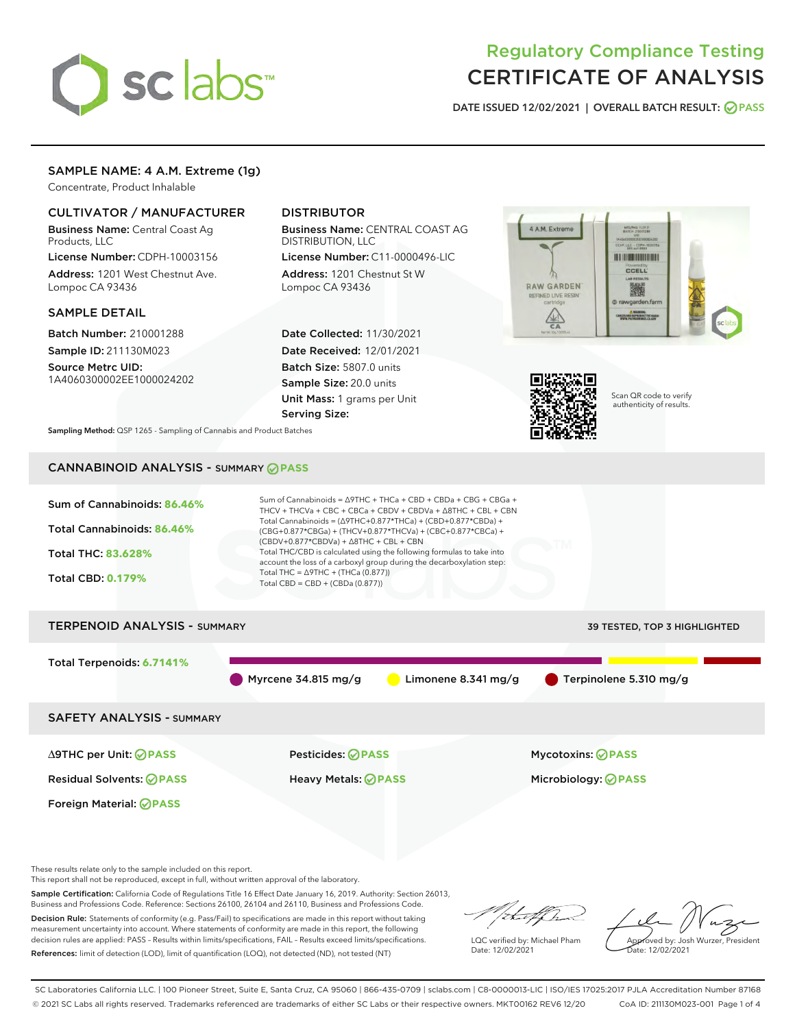

# Regulatory Compliance Testing CERTIFICATE OF ANALYSIS

DATE ISSUED 12/02/2021 | OVERALL BATCH RESULT: @ PASS

## SAMPLE NAME: 4 A.M. Extreme (1g)

Concentrate, Product Inhalable

## CULTIVATOR / MANUFACTURER

Business Name: Central Coast Ag Products, LLC

License Number: CDPH-10003156 Address: 1201 West Chestnut Ave. Lompoc CA 93436

#### SAMPLE DETAIL

Batch Number: 210001288 Sample ID: 211130M023

Source Metrc UID: 1A4060300002EE1000024202

# DISTRIBUTOR

Business Name: CENTRAL COAST AG DISTRIBUTION, LLC

License Number: C11-0000496-LIC Address: 1201 Chestnut St W Lompoc CA 93436

Date Collected: 11/30/2021 Date Received: 12/01/2021 Batch Size: 5807.0 units Sample Size: 20.0 units Unit Mass: 1 grams per Unit Serving Size:





Scan QR code to verify authenticity of results.

Sampling Method: QSP 1265 - Sampling of Cannabis and Product Batches

# CANNABINOID ANALYSIS - SUMMARY **PASS**

| Sum of Cannabinoids: 86.46%<br>Total Cannabinoids: 86.46%<br><b>Total THC: 83.628%</b><br><b>Total CBD: 0.179%</b> | Sum of Cannabinoids = $\triangle$ 9THC + THCa + CBD + CBDa + CBG + CBGa +<br>THCV + THCVa + CBC + CBCa + CBDV + CBDVa + $\triangle$ 8THC + CBL + CBN<br>Total Cannabinoids = $(\Delta$ 9THC+0.877*THCa) + (CBD+0.877*CBDa) +<br>(CBG+0.877*CBGa) + (THCV+0.877*THCVa) + (CBC+0.877*CBCa) +<br>$(CBDV+0.877*CBDVa) + \Delta 8THC + CBL + CBN$<br>Total THC/CBD is calculated using the following formulas to take into<br>account the loss of a carboxyl group during the decarboxylation step:<br>Total THC = $\triangle$ 9THC + (THCa (0.877))<br>Total CBD = CBD + (CBDa (0.877)) |                              |  |  |  |  |
|--------------------------------------------------------------------------------------------------------------------|-------------------------------------------------------------------------------------------------------------------------------------------------------------------------------------------------------------------------------------------------------------------------------------------------------------------------------------------------------------------------------------------------------------------------------------------------------------------------------------------------------------------------------------------------------------------------------------|------------------------------|--|--|--|--|
| <b>TERPENOID ANALYSIS - SUMMARY</b>                                                                                |                                                                                                                                                                                                                                                                                                                                                                                                                                                                                                                                                                                     | 39 TESTED, TOP 3 HIGHLIGHTED |  |  |  |  |
| Total Terpenoids: 6.7141%                                                                                          | Limonene 8.341 $mg/g$<br>Myrcene 34.815 mg/g                                                                                                                                                                                                                                                                                                                                                                                                                                                                                                                                        | Terpinolene 5.310 mg/g       |  |  |  |  |
| <b>SAFETY ANALYSIS - SUMMARY</b>                                                                                   |                                                                                                                                                                                                                                                                                                                                                                                                                                                                                                                                                                                     |                              |  |  |  |  |
| ∆9THC per Unit: ⊘PASS                                                                                              | Pesticides: ⊘PASS                                                                                                                                                                                                                                                                                                                                                                                                                                                                                                                                                                   | <b>Mycotoxins: ⊘PASS</b>     |  |  |  |  |
| <b>Residual Solvents: ⊘ PASS</b>                                                                                   | <b>Heavy Metals: ⊘ PASS</b>                                                                                                                                                                                                                                                                                                                                                                                                                                                                                                                                                         | Microbiology: <b>⊘PASS</b>   |  |  |  |  |
| Foreign Material: <b>⊘ PASS</b>                                                                                    |                                                                                                                                                                                                                                                                                                                                                                                                                                                                                                                                                                                     |                              |  |  |  |  |
|                                                                                                                    |                                                                                                                                                                                                                                                                                                                                                                                                                                                                                                                                                                                     |                              |  |  |  |  |

These results relate only to the sample included on this report.

This report shall not be reproduced, except in full, without written approval of the laboratory.

Sample Certification: California Code of Regulations Title 16 Effect Date January 16, 2019. Authority: Section 26013, Business and Professions Code. Reference: Sections 26100, 26104 and 26110, Business and Professions Code. Decision Rule: Statements of conformity (e.g. Pass/Fail) to specifications are made in this report without taking

measurement uncertainty into account. Where statements of conformity are made in this report, the following decision rules are applied: PASS – Results within limits/specifications, FAIL – Results exceed limits/specifications. References: limit of detection (LOD), limit of quantification (LOQ), not detected (ND), not tested (NT)

Withat f ha

LQC verified by: Michael Pham Date: 12/02/2021

Approved by: Josh Wurzer, President Date: 12/02/2021

SC Laboratories California LLC. | 100 Pioneer Street, Suite E, Santa Cruz, CA 95060 | 866-435-0709 | sclabs.com | C8-0000013-LIC | ISO/IES 17025:2017 PJLA Accreditation Number 87168 © 2021 SC Labs all rights reserved. Trademarks referenced are trademarks of either SC Labs or their respective owners. MKT00162 REV6 12/20 CoA ID: 211130M023-001 Page 1 of 4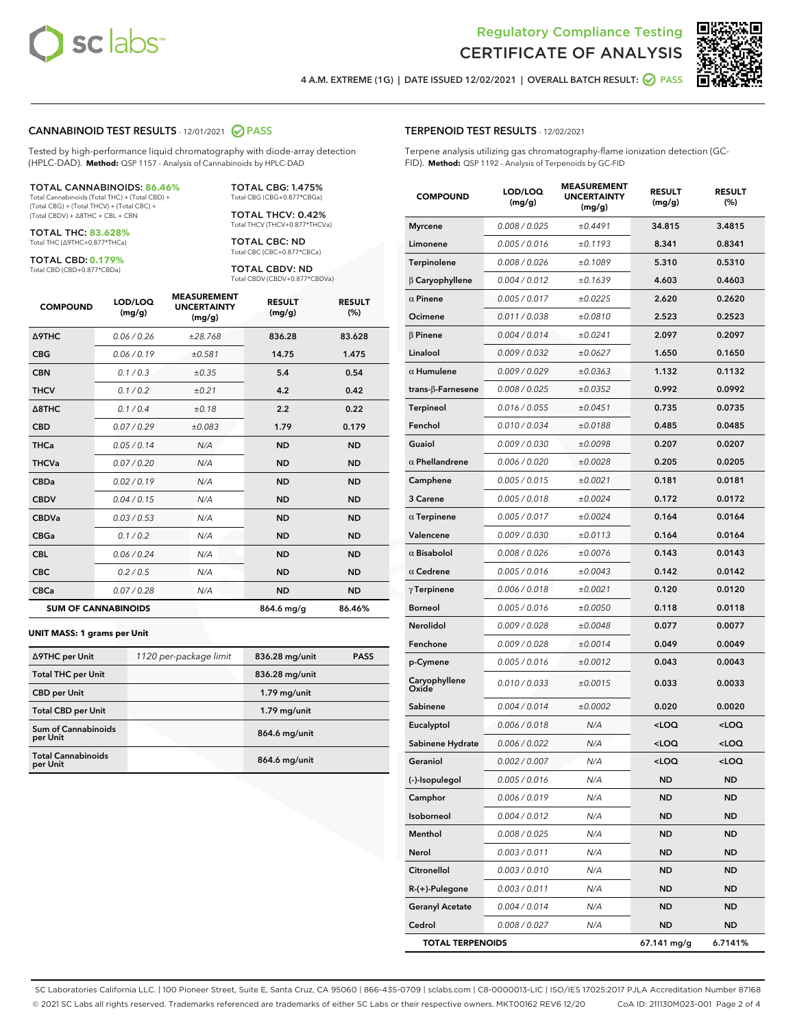



4 A.M. EXTREME (1G) | DATE ISSUED 12/02/2021 | OVERALL BATCH RESULT:  $\bigcirc$  PASS

#### CANNABINOID TEST RESULTS - 12/01/2021 2 PASS

Tested by high-performance liquid chromatography with diode-array detection (HPLC-DAD). **Method:** QSP 1157 - Analysis of Cannabinoids by HPLC-DAD

#### TOTAL CANNABINOIDS: **86.46%**

Total Cannabinoids (Total THC) + (Total CBD) + (Total CBG) + (Total THCV) + (Total CBC) + (Total CBDV) + ∆8THC + CBL + CBN

TOTAL THC: **83.628%** Total THC (∆9THC+0.877\*THCa)

TOTAL CBD: **0.179%**

Total CBD (CBD+0.877\*CBDa)

TOTAL CBG: 1.475% Total CBG (CBG+0.877\*CBGa)

TOTAL THCV: 0.42% Total THCV (THCV+0.877\*THCVa)

TOTAL CBC: ND Total CBC (CBC+0.877\*CBCa)

TOTAL CBDV: ND Total CBDV (CBDV+0.877\*CBDVa)

| <b>COMPOUND</b>            | LOD/LOQ<br>(mg/g) | <b>MEASUREMENT</b><br><b>UNCERTAINTY</b><br>(mg/g) | <b>RESULT</b><br>(mg/g) | <b>RESULT</b><br>(%) |
|----------------------------|-------------------|----------------------------------------------------|-------------------------|----------------------|
| Δ9THC                      | 0.06 / 0.26       | ±28.768                                            | 836.28                  | 83.628               |
| <b>CBG</b>                 | 0.06/0.19         | ±0.581                                             | 14.75                   | 1.475                |
| <b>CBN</b>                 | 0.1/0.3           | ±0.35                                              | 5.4                     | 0.54                 |
| <b>THCV</b>                | 0.1/0.2           | ±0.21                                              | 4.2                     | 0.42                 |
| $\triangle$ 8THC           | 0.1/0.4           | ±0.18                                              | 2.2                     | 0.22                 |
| <b>CBD</b>                 | 0.07/0.29         | ±0.083                                             | 1.79                    | 0.179                |
| <b>THCa</b>                | 0.05 / 0.14       | N/A                                                | <b>ND</b>               | <b>ND</b>            |
| <b>THCVa</b>               | 0.07/0.20         | N/A                                                | <b>ND</b>               | <b>ND</b>            |
| <b>CBDa</b>                | 0.02/0.19         | N/A                                                | <b>ND</b>               | <b>ND</b>            |
| <b>CBDV</b>                | 0.04 / 0.15       | N/A                                                | <b>ND</b>               | <b>ND</b>            |
| <b>CBDVa</b>               | 0.03/0.53         | N/A                                                | <b>ND</b>               | <b>ND</b>            |
| <b>CBGa</b>                | 0.1 / 0.2         | N/A                                                | <b>ND</b>               | <b>ND</b>            |
| <b>CBL</b>                 | 0.06 / 0.24       | N/A                                                | <b>ND</b>               | <b>ND</b>            |
| <b>CBC</b>                 | 0.2 / 0.5         | N/A                                                | <b>ND</b>               | <b>ND</b>            |
| <b>CBCa</b>                | 0.07/0.28         | N/A                                                | <b>ND</b>               | <b>ND</b>            |
| <b>SUM OF CANNABINOIDS</b> |                   |                                                    | 864.6 mg/g              | 86.46%               |

#### **UNIT MASS: 1 grams per Unit**

| ∆9THC per Unit                         | 1120 per-package limit | 836.28 mg/unit | <b>PASS</b> |
|----------------------------------------|------------------------|----------------|-------------|
| <b>Total THC per Unit</b>              |                        | 836.28 mg/unit |             |
| <b>CBD per Unit</b>                    |                        | $1.79$ mg/unit |             |
| <b>Total CBD per Unit</b>              |                        | $1.79$ mg/unit |             |
| <b>Sum of Cannabinoids</b><br>per Unit |                        | 864.6 mg/unit  |             |
| <b>Total Cannabinoids</b><br>per Unit  |                        | 864.6 mg/unit  |             |

#### TERPENOID TEST RESULTS - 12/02/2021

Terpene analysis utilizing gas chromatography-flame ionization detection (GC-FID). **Method:** QSP 1192 - Analysis of Terpenoids by GC-FID

| <b>COMPOUND</b>           | LOD/LOQ<br>(mg/g) | <b>MEASUREMENT</b><br><b>UNCERTAINTY</b><br>(mg/g) | <b>RESULT</b><br>(mg/g)                         | <b>RESULT</b><br>(%) |
|---------------------------|-------------------|----------------------------------------------------|-------------------------------------------------|----------------------|
| <b>Myrcene</b>            | 0.008 / 0.025     | ±0.4491                                            | 34.815                                          | 3.4815               |
| Limonene                  | 0.005 / 0.016     | ±0.1193                                            | 8.341                                           | 0.8341               |
| Terpinolene               | 0.008 / 0.026     | ±0.1089                                            | 5.310                                           | 0.5310               |
| $\beta$ Caryophyllene     | 0.004 / 0.012     | ±0.1639                                            | 4.603                                           | 0.4603               |
| $\alpha$ Pinene           | 0.005 / 0.017     | ±0.0225                                            | 2.620                                           | 0.2620               |
| Ocimene                   | 0.011/0.038       | ±0.0810                                            | 2.523                                           | 0.2523               |
| $\beta$ Pinene            | 0.004 / 0.014     | ±0.0241                                            | 2.097                                           | 0.2097               |
| Linalool                  | 0.009 / 0.032     | ±0.0627                                            | 1.650                                           | 0.1650               |
| $\alpha$ Humulene         | 0.009 / 0.029     | ±0.0363                                            | 1.132                                           | 0.1132               |
| trans- $\beta$ -Farnesene | 0.008 / 0.025     | ±0.0352                                            | 0.992                                           | 0.0992               |
| Terpineol                 | 0.016 / 0.055     | ±0.0451                                            | 0.735                                           | 0.0735               |
| Fenchol                   | 0.010 / 0.034     | ±0.0188                                            | 0.485                                           | 0.0485               |
| Guaiol                    | 0.009 / 0.030     | ±0.0098                                            | 0.207                                           | 0.0207               |
| $\alpha$ Phellandrene     | 0.006 / 0.020     | ±0.0028                                            | 0.205                                           | 0.0205               |
| Camphene                  | 0.005 / 0.015     | ±0.0021                                            | 0.181                                           | 0.0181               |
| 3 Carene                  | 0.005 / 0.018     | ±0.0024                                            | 0.172                                           | 0.0172               |
| $\alpha$ Terpinene        | 0.005 / 0.017     | ±0.0024                                            | 0.164                                           | 0.0164               |
| Valencene                 | 0.009 / 0.030     | ±0.0113                                            | 0.164                                           | 0.0164               |
| $\alpha$ Bisabolol        | 0.008 / 0.026     | ±0.0076                                            | 0.143                                           | 0.0143               |
| $\alpha$ Cedrene          | 0.005 / 0.016     | ±0.0043                                            | 0.142                                           | 0.0142               |
| $\gamma$ Terpinene        | 0.006 / 0.018     | ±0.0021                                            | 0.120                                           | 0.0120               |
| <b>Borneol</b>            | 0.005 / 0.016     | ±0.0050                                            | 0.118                                           | 0.0118               |
| <b>Nerolidol</b>          | 0.009 / 0.028     | ±0.0048                                            | 0.077                                           | 0.0077               |
| Fenchone                  | 0.009 / 0.028     | ±0.0014                                            | 0.049                                           | 0.0049               |
| p-Cymene                  | 0.005 / 0.016     | ±0.0012                                            | 0.043                                           | 0.0043               |
| Caryophyllene<br>Oxide    | 0.010 / 0.033     | ±0.0015                                            | 0.033                                           | 0.0033               |
| Sabinene                  | 0.004 / 0.014     | ±0.0002                                            | 0.020                                           | 0.0020               |
| Eucalyptol                | 0.006 / 0.018     | N/A                                                | <loq< th=""><th><loq< th=""></loq<></th></loq<> | <loq< th=""></loq<>  |
| Sabinene Hydrate          | 0.006 / 0.022     | N/A                                                | $<$ LOQ                                         | <loq< th=""></loq<>  |
| Geraniol                  | 0.002 / 0.007     | N/A                                                | $<$ LOQ                                         | <loq< th=""></loq<>  |
| (-)-Isopulegol            | 0.005 / 0.016     | N/A                                                | ND                                              | ND                   |
| Camphor                   | 0.006 / 0.019     | N/A                                                | ND                                              | ND                   |
| Isoborneol                | 0.004 / 0.012     | N/A                                                | <b>ND</b>                                       | ND                   |
| Menthol                   | 0.008 / 0.025     | N/A                                                | <b>ND</b>                                       | ND                   |
| Nerol                     | 0.003 / 0.011     | N/A                                                | ND                                              | ND                   |
| Citronellol               | 0.003 / 0.010     | N/A                                                | ND                                              | ND                   |
| R-(+)-Pulegone            | 0.003 / 0.011     | N/A                                                | <b>ND</b>                                       | ND                   |
| <b>Geranyl Acetate</b>    | 0.004 / 0.014     | N/A                                                | ND                                              | ND                   |
| Cedrol                    | 0.008 / 0.027     | N/A                                                | <b>ND</b>                                       | ND                   |
| <b>TOTAL TERPENOIDS</b>   |                   |                                                    | 67.141 mg/g                                     | 6.7141%              |

SC Laboratories California LLC. | 100 Pioneer Street, Suite E, Santa Cruz, CA 95060 | 866-435-0709 | sclabs.com | C8-0000013-LIC | ISO/IES 17025:2017 PJLA Accreditation Number 87168 © 2021 SC Labs all rights reserved. Trademarks referenced are trademarks of either SC Labs or their respective owners. MKT00162 REV6 12/20 CoA ID: 211130M023-001 Page 2 of 4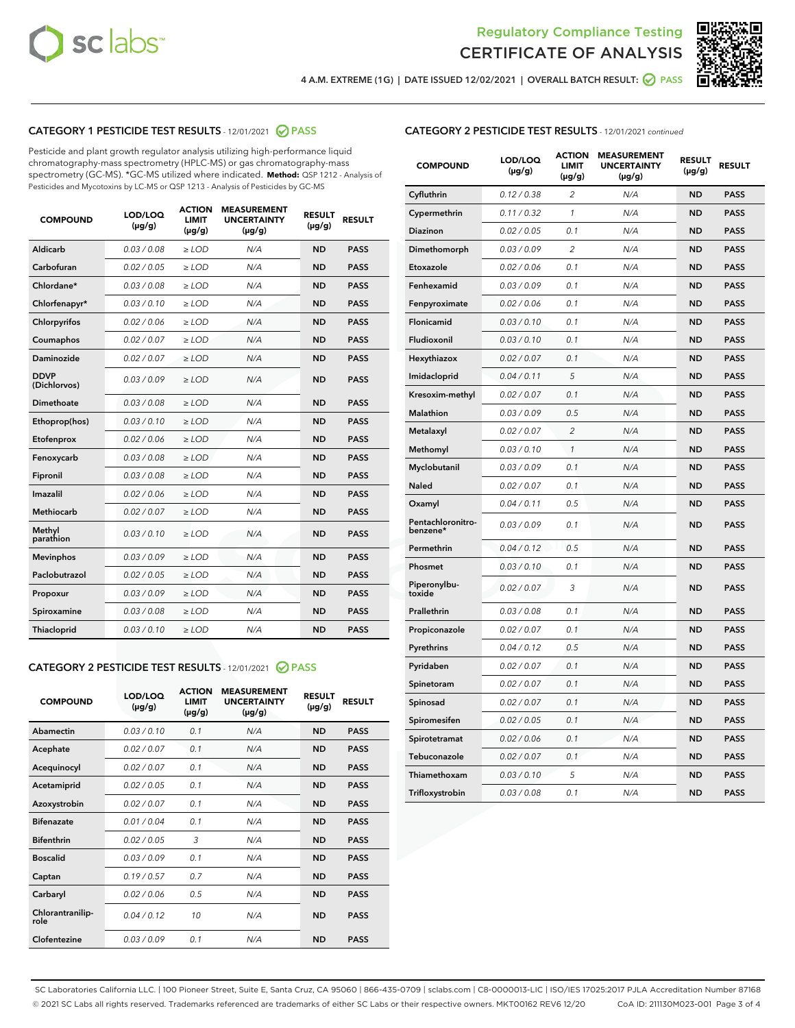



4 A.M. EXTREME (1G) | DATE ISSUED 12/02/2021 | OVERALL BATCH RESULT:  $\bigcirc$  PASS

# CATEGORY 1 PESTICIDE TEST RESULTS - 12/01/2021 2 PASS

Pesticide and plant growth regulator analysis utilizing high-performance liquid chromatography-mass spectrometry (HPLC-MS) or gas chromatography-mass spectrometry (GC-MS). \*GC-MS utilized where indicated. **Method:** QSP 1212 - Analysis of Pesticides and Mycotoxins by LC-MS or QSP 1213 - Analysis of Pesticides by GC-MS

| <b>COMPOUND</b>             | LOD/LOQ<br>$(\mu g/g)$ | <b>ACTION</b><br><b>LIMIT</b><br>$(\mu g/g)$ | <b>MEASUREMENT</b><br><b>UNCERTAINTY</b><br>$(\mu g/g)$ | <b>RESULT</b><br>$(\mu g/g)$ | <b>RESULT</b> |
|-----------------------------|------------------------|----------------------------------------------|---------------------------------------------------------|------------------------------|---------------|
| Aldicarb                    | 0.03 / 0.08            | $\ge$ LOD                                    | N/A                                                     | <b>ND</b>                    | <b>PASS</b>   |
| Carbofuran                  | 0.02/0.05              | $>$ LOD                                      | N/A                                                     | <b>ND</b>                    | <b>PASS</b>   |
| Chlordane*                  | 0.03 / 0.08            | $\ge$ LOD                                    | N/A                                                     | <b>ND</b>                    | <b>PASS</b>   |
| Chlorfenapyr*               | 0.03/0.10              | $\ge$ LOD                                    | N/A                                                     | <b>ND</b>                    | <b>PASS</b>   |
| Chlorpyrifos                | 0.02 / 0.06            | $\ge$ LOD                                    | N/A                                                     | <b>ND</b>                    | <b>PASS</b>   |
| Coumaphos                   | 0.02 / 0.07            | $>$ LOD                                      | N/A                                                     | <b>ND</b>                    | <b>PASS</b>   |
| Daminozide                  | 0.02 / 0.07            | $\ge$ LOD                                    | N/A                                                     | <b>ND</b>                    | <b>PASS</b>   |
| <b>DDVP</b><br>(Dichlorvos) | 0.03/0.09              | $\ge$ LOD                                    | N/A                                                     | <b>ND</b>                    | <b>PASS</b>   |
| <b>Dimethoate</b>           | 0.03/0.08              | $\ge$ LOD                                    | N/A                                                     | <b>ND</b>                    | <b>PASS</b>   |
| Ethoprop(hos)               | 0.03/0.10              | $>$ LOD                                      | N/A                                                     | <b>ND</b>                    | <b>PASS</b>   |
| Etofenprox                  | 0.02 / 0.06            | $\ge$ LOD                                    | N/A                                                     | <b>ND</b>                    | <b>PASS</b>   |
| Fenoxycarb                  | 0.03 / 0.08            | $>$ LOD                                      | N/A                                                     | <b>ND</b>                    | <b>PASS</b>   |
| Fipronil                    | 0.03/0.08              | $\ge$ LOD                                    | N/A                                                     | <b>ND</b>                    | <b>PASS</b>   |
| Imazalil                    | 0.02 / 0.06            | $\ge$ LOD                                    | N/A                                                     | <b>ND</b>                    | <b>PASS</b>   |
| <b>Methiocarb</b>           | 0.02 / 0.07            | $\ge$ LOD                                    | N/A                                                     | <b>ND</b>                    | <b>PASS</b>   |
| Methyl<br>parathion         | 0.03/0.10              | $>$ LOD                                      | N/A                                                     | <b>ND</b>                    | <b>PASS</b>   |
| <b>Mevinphos</b>            | 0.03/0.09              | $>$ LOD                                      | N/A                                                     | <b>ND</b>                    | <b>PASS</b>   |
| Paclobutrazol               | 0.02 / 0.05            | $\ge$ LOD                                    | N/A                                                     | <b>ND</b>                    | <b>PASS</b>   |
| Propoxur                    | 0.03/0.09              | $\ge$ LOD                                    | N/A                                                     | <b>ND</b>                    | <b>PASS</b>   |
| Spiroxamine                 | 0.03 / 0.08            | $\ge$ LOD                                    | N/A                                                     | <b>ND</b>                    | <b>PASS</b>   |
| <b>Thiacloprid</b>          | 0.03/0.10              | $\ge$ LOD                                    | N/A                                                     | <b>ND</b>                    | <b>PASS</b>   |
|                             |                        |                                              |                                                         |                              |               |

# CATEGORY 2 PESTICIDE TEST RESULTS - 12/01/2021 @ PASS

| <b>COMPOUND</b>          | LOD/LOO<br>$(\mu g/g)$ | <b>ACTION</b><br>LIMIT<br>$(\mu g/g)$ | <b>MEASUREMENT</b><br><b>UNCERTAINTY</b><br>$(\mu g/g)$ | <b>RESULT</b><br>$(\mu g/g)$ | <b>RESULT</b> |  |
|--------------------------|------------------------|---------------------------------------|---------------------------------------------------------|------------------------------|---------------|--|
| Abamectin                | 0.03/0.10              | 0.1                                   | N/A                                                     | <b>ND</b>                    | <b>PASS</b>   |  |
| Acephate                 | 0.02/0.07              | 0.1                                   | N/A                                                     | <b>ND</b>                    | <b>PASS</b>   |  |
| Acequinocyl              | 0.02/0.07              | 0.1                                   | N/A                                                     | <b>ND</b>                    | <b>PASS</b>   |  |
| Acetamiprid              | 0.02/0.05              | 0.1                                   | N/A                                                     | <b>ND</b>                    | <b>PASS</b>   |  |
| Azoxystrobin             | 0.02/0.07              | 0.1                                   | N/A                                                     | <b>ND</b>                    | <b>PASS</b>   |  |
| <b>Bifenazate</b>        | 0.01/0.04              | 0.1                                   | N/A                                                     | <b>ND</b>                    | <b>PASS</b>   |  |
| <b>Bifenthrin</b>        | 0.02/0.05              | 3                                     | N/A                                                     | <b>ND</b>                    | <b>PASS</b>   |  |
| <b>Boscalid</b>          | 0.03/0.09              | 0.1                                   | N/A                                                     | <b>ND</b>                    | <b>PASS</b>   |  |
| Captan                   | 0.19/0.57              | 0.7                                   | N/A                                                     | <b>ND</b>                    | <b>PASS</b>   |  |
| Carbaryl                 | 0.02/0.06              | 0.5                                   | N/A                                                     | <b>ND</b>                    | <b>PASS</b>   |  |
| Chlorantranilip-<br>role | 0.04/0.12              | 10                                    | N/A                                                     | <b>ND</b>                    | <b>PASS</b>   |  |
| Clofentezine             | 0.03/0.09              | 0.1                                   | N/A                                                     | <b>ND</b>                    | <b>PASS</b>   |  |

| <b>CATEGORY 2 PESTICIDE TEST RESULTS</b> - 12/01/2021 continued |
|-----------------------------------------------------------------|
|-----------------------------------------------------------------|

| <b>COMPOUND</b>               | LOD/LOQ<br>(µg/g) | <b>ACTION</b><br>LIMIT<br>(µg/g) | <b>MEASUREMENT</b><br><b>UNCERTAINTY</b><br>$(\mu g/g)$ | <b>RESULT</b><br>(µg/g) | <b>RESULT</b> |
|-------------------------------|-------------------|----------------------------------|---------------------------------------------------------|-------------------------|---------------|
| Cyfluthrin                    | 0.12 / 0.38       | $\overline{c}$                   | N/A                                                     | ND                      | <b>PASS</b>   |
| Cypermethrin                  | 0.11 / 0.32       | 1                                | N/A                                                     | <b>ND</b>               | <b>PASS</b>   |
| Diazinon                      | 0.02 / 0.05       | 0.1                              | N/A                                                     | ND                      | <b>PASS</b>   |
| Dimethomorph                  | 0.03 / 0.09       | $\overline{c}$                   | N/A                                                     | ND                      | <b>PASS</b>   |
| Etoxazole                     | 0.02 / 0.06       | 0.1                              | N/A                                                     | <b>ND</b>               | <b>PASS</b>   |
| Fenhexamid                    | 0.03 / 0.09       | 0.1                              | N/A                                                     | ND                      | <b>PASS</b>   |
| Fenpyroximate                 | 0.02 / 0.06       | 0.1                              | N/A                                                     | <b>ND</b>               | <b>PASS</b>   |
| Flonicamid                    | 0.03 / 0.10       | 0.1                              | N/A                                                     | <b>ND</b>               | <b>PASS</b>   |
| Fludioxonil                   | 0.03 / 0.10       | 0.1                              | N/A                                                     | ND                      | <b>PASS</b>   |
| Hexythiazox                   | 0.02 / 0.07       | 0.1                              | N/A                                                     | ND                      | <b>PASS</b>   |
| Imidacloprid                  | 0.04 / 0.11       | 5                                | N/A                                                     | <b>ND</b>               | <b>PASS</b>   |
| Kresoxim-methyl               | 0.02 / 0.07       | 0.1                              | N/A                                                     | ND                      | <b>PASS</b>   |
| Malathion                     | 0.03 / 0.09       | 0.5                              | N/A                                                     | ND                      | <b>PASS</b>   |
| Metalaxyl                     | 0.02 / 0.07       | $\overline{2}$                   | N/A                                                     | <b>ND</b>               | <b>PASS</b>   |
| Methomyl                      | 0.03 / 0.10       | 1                                | N/A                                                     | <b>ND</b>               | <b>PASS</b>   |
| Myclobutanil                  | 0.03 / 0.09       | 0.1                              | N/A                                                     | ND                      | <b>PASS</b>   |
| <b>Naled</b>                  | 0.02 / 0.07       | 0.1                              | N/A                                                     | <b>ND</b>               | <b>PASS</b>   |
| Oxamyl                        | 0.04 / 0.11       | 0.5                              | N/A                                                     | ND                      | <b>PASS</b>   |
| Pentachloronitro-<br>benzene* | 0.03/0.09         | 0.1                              | N/A                                                     | ND                      | <b>PASS</b>   |
| Permethrin                    | 0.04 / 0.12       | 0.5                              | N/A                                                     | ND                      | <b>PASS</b>   |
| Phosmet                       | 0.03 / 0.10       | 0.1                              | N/A                                                     | <b>ND</b>               | <b>PASS</b>   |
| Piperonylbu-<br>toxide        | 0.02 / 0.07       | 3                                | N/A                                                     | ND                      | <b>PASS</b>   |
| Prallethrin                   | 0.03 / 0.08       | 0.1                              | N/A                                                     | <b>ND</b>               | <b>PASS</b>   |
| Propiconazole                 | 0.02 / 0.07       | 0.1                              | N/A                                                     | ND                      | <b>PASS</b>   |
| Pyrethrins                    | 0.04 / 0.12       | 0.5                              | N/A                                                     | ND                      | <b>PASS</b>   |
| Pyridaben                     | 0.02 / 0.07       | 0.1                              | N/A                                                     | <b>ND</b>               | <b>PASS</b>   |
| Spinetoram                    | 0.02 / 0.07       | 0.1                              | N/A                                                     | ND                      | <b>PASS</b>   |
| Spinosad                      | 0.02 / 0.07       | 0.1                              | N/A                                                     | ND                      | <b>PASS</b>   |
| Spiromesifen                  | 0.02 / 0.05       | 0.1                              | N/A                                                     | <b>ND</b>               | <b>PASS</b>   |
| Spirotetramat                 | 0.02 / 0.06       | 0.1                              | N/A                                                     | <b>ND</b>               | <b>PASS</b>   |
| Tebuconazole                  | 0.02 / 0.07       | 0.1                              | N/A                                                     | <b>ND</b>               | <b>PASS</b>   |
| Thiamethoxam                  | 0.03 / 0.10       | 5                                | N/A                                                     | ND                      | <b>PASS</b>   |
| Trifloxystrobin               | 0.03 / 0.08       | 0.1                              | N/A                                                     | ND                      | <b>PASS</b>   |

SC Laboratories California LLC. | 100 Pioneer Street, Suite E, Santa Cruz, CA 95060 | 866-435-0709 | sclabs.com | C8-0000013-LIC | ISO/IES 17025:2017 PJLA Accreditation Number 87168 © 2021 SC Labs all rights reserved. Trademarks referenced are trademarks of either SC Labs or their respective owners. MKT00162 REV6 12/20 CoA ID: 211130M023-001 Page 3 of 4